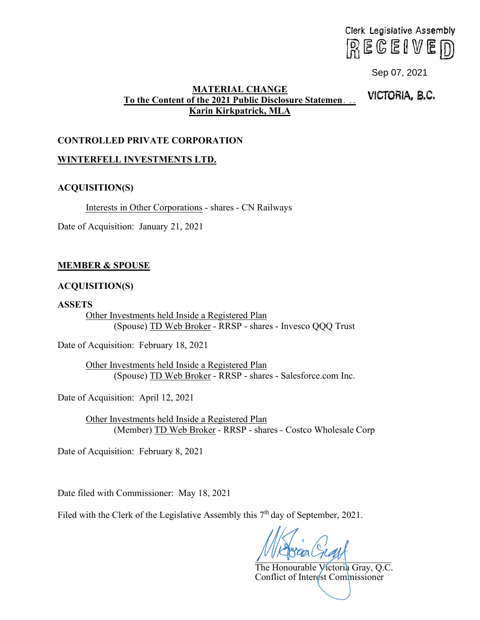

Sep 07, 2021<br>**VICTORIA, B.C.** 

# **MATERIAL CHANGE** To the Content of the 2021 Public Disclosure Statemen. **Karin Kirkpatrick, MLA**

### **CONTROLLED PRIVATE CORPORATION**

### **WINTERFELL INVESTMENTS LTD.**

### **ACQUISITION(S)**

Interests in Other Corporations - shares - CN Railways

Date of Acquisition: January 21, 2021

#### **MEMBER & SPOUSE**

#### **ACQUISITION(S)**

#### **ASSETS**

Other Investments held Inside a Registered Plan (Spouse) TD Web Broker - RRSP - shares - Invesco QQQ Trust

Date of Acquisition: February 18, 2021

Other Investments held Inside a Registered Plan (Spouse) TD Web Broker - RRSP - shares - Salesforce.com Inc.

Date of Acquisition: April 12, 2021

Other Investments held Inside a Registered Plan (Member) TD Web Broker - RRSP - shares - Costco Wholesale Corp

Date of Acquisition: February 8, 2021

Date filed with Commissioner: May 18, 2021

Filed with the Clerk of the Legislative Assembly this  $7<sup>th</sup>$  day of September, 2021.

 $\frac{1}{2}$ 

The Honourable Victoria Gray, Q.C. Conflict of Interest Commissioner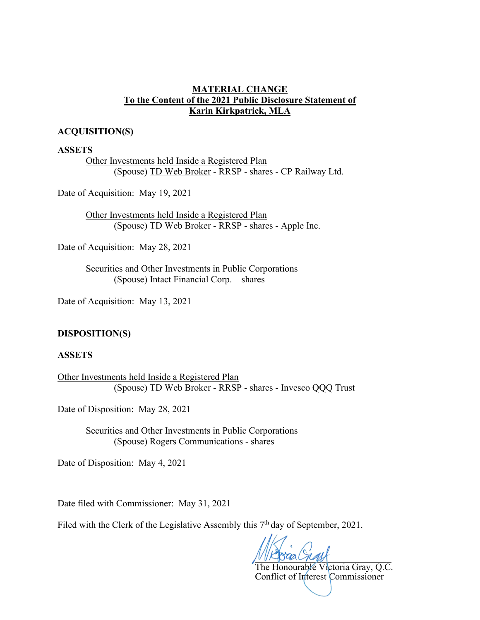# **MATERIAL CHANGE To the Content of the 2021 Public Disclosure Statement of Karin Kirkpatrick, MLA**

### **ACQUISITION(S)**

#### **ASSETS**

Other Investments held Inside a Registered Plan (Spouse) TD Web Broker - RRSP - shares - CP Railway Ltd.

Date of Acquisition: May 19, 2021

Other Investments held Inside a Registered Plan (Spouse) TD Web Broker - RRSP - shares - Apple Inc.

Date of Acquisition: May 28, 2021

 Securities and Other Investments in Public Corporations (Spouse) Intact Financial Corp. – shares

Date of Acquisition: May 13, 2021

### **DISPOSITION(S)**

### **ASSETS**

Other Investments held Inside a Registered Plan (Spouse) TD Web Broker - RRSP - shares - Invesco QQQ Trust

Date of Disposition: May 28, 2021

 Securities and Other Investments in Public Corporations (Spouse) Rogers Communications - shares

Date of Disposition: May 4, 2021

Date filed with Commissioner: May 31, 2021

Filed with the Clerk of the Legislative Assembly this 7<sup>th</sup> day of September, 2021.

 $N$ 

The Honourable Victoria Gray, Q.C. Conflict of Interest Commissioner